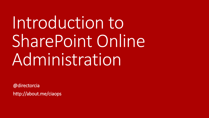# Introduction to SharePoint Online Administration

@directorcia http://about.me/ciaops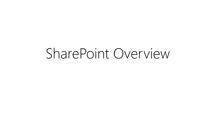# SharePoint Overview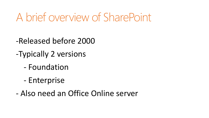# A brief overview of SharePoint

- -Released before 2000
- -Typically 2 versions
	- Foundation
	- Enterprise
- Also need an Office Online server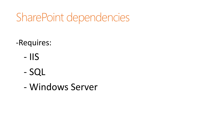# SharePoint dependencies

- -Requires:
	- IIS
	- SQL
	- Windows Server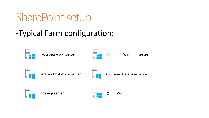# SharePoint setup

-Typical Farm configuration:



Front end Web Server



Clustered front end server



Back end Database Server



Clustered Database Server



Indexing server  $\Box$  Office Online

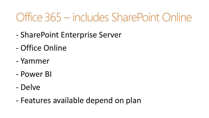# Office 365 – includes SharePoint Online

- SharePoint Enterprise Server
- Office Online
- Yammer
- Power BI
- Delve
- Features available depend on plan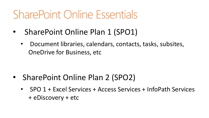# SharePoint Online Essentials

- SharePoint Online Plan 1 (SPO1)
	- Document libraries, calendars, contacts, tasks, subsites, OneDrive for Business, etc

- SharePoint Online Plan 2 (SPO2)
	- SPO 1 + Excel Services + Access Services + InfoPath Services + eDiscovery + etc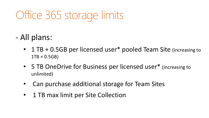# Office 365 storage limits

#### - All plans:

- 1 TB + 0.5GB per licensed user\* pooled Team Site (increasing to 1TB + 0.5GB)
- 5 TB OneDrive for Business per licensed user\* (increasing to unlimited)
- Can purchase additional storage for Team Sites
- 1 TB max limit per Site Collection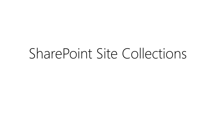# SharePoint Site Collections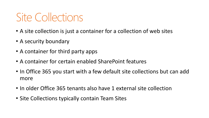# Site Collections

- A site collection is just a container for a collection of web sites
- A security boundary
- A container for third party apps
- A container for certain enabled SharePoint features
- In Office 365 you start with a few default site collections but can add more
- In older Office 365 tenants also have 1 external site collection
- Site Collections typically contain Team Sites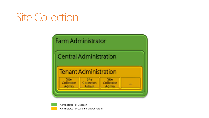# **Site Collection**

#### **Farm Administrator**

#### **Central Administration**

#### **Tenant Administration**

**Site Site Site** Collection Collection Collection Admin Admin **Admin** 

**KAN** 



Administered by Microsoft Administered by Customer and/or Partner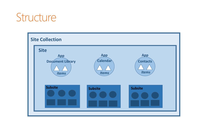### Structure

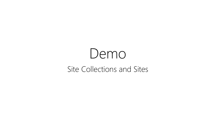# Demo Site Collections and Sites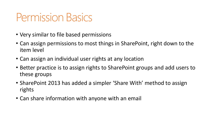### Permission Basics

- Very similar to file based permissions
- Can assign permissions to most things in SharePoint, right down to the item level
- Can assign an individual user rights at any location
- Better practice is to assign rights to SharePoint groups and add users to these groups
- SharePoint 2013 has added a simpler 'Share With' method to assign rights
- Can share information with anyone with an email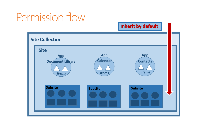### Permission flow

**Inherit by default**

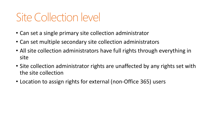## Site Collection level

- Can set a single primary site collection administrator
- Can set multiple secondary site collection administrators
- All site collection administrators have full rights through everything in site
- Site collection administrator rights are unaffected by any rights set with the site collection
- Location to assign rights for external (non-Office 365) users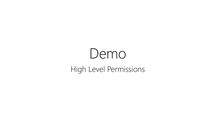# Demo High Level Permissions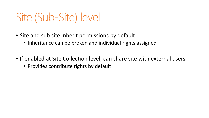## Site (Sub-Site) level

- Site and sub site inherit permissions by default
	- Inheritance can be broken and individual rights assigned
- If enabled at Site Collection level, can share site with external users
	- Provides contribute rights by default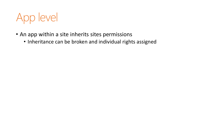

- An app within a site inherits sites permissions
	- Inheritance can be broken and individual rights assigned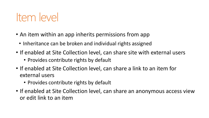### Item level

- An item within an app inherits permissions from app
	- Inheritance can be broken and individual rights assigned
- If enabled at Site Collection level, can share site with external users
	- Provides contribute rights by default
- If enabled at Site Collection level, can share a link to an item for external users
	- Provides contribute rights by default
- If enabled at Site Collection level, can share an anonymous access view or edit link to an item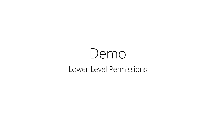# Demo Lower Level Permissions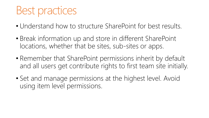### Best practices

- Understand how to structure SharePoint for best results.
- Break information up and store in different SharePoint locations, whether that be sites, sub-sites or apps.
- Remember that SharePoint permissions inherit by default and all users get contribute rights to first team site initially.
- Set and manage permissions at the highest level. Avoid using item level permissions.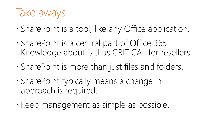# Take aways

- SharePoint is a tool, like any Office application.
- SharePoint is a central part of Office 365. Knowledge about is thus CRITICAL for resellers.
- SharePoint is more than just files and folders.
- SharePoint typically means a change in approach is required.
- Keep management as simple as possible.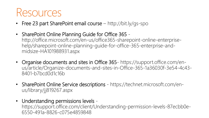### Resources

- Free 23 part SharePoint email course http://bit.ly/gs-spo
- SharePoint Online Planning Guide for Office 365 http://office.microsoft.com/en-us/office365-sharepoint-online-enterprisehelp/sharepoint-online-planning-guide-for-office-365-enterprise-andmidsize-HA101988931.aspx
- Organise documents and sites in Office 365- https://support.office.com/enus/article/Organize-documents-and-sites-in-Office-365-1a36030f-3e54-4c43- 8401-b7bcd0d1c16b
- SharePoint Online Service descriptions https://technet.microsoft.com/enus/library/jj819267.aspx
- Understanding permissions levels -

https://support.office.com/client/Understanding-permission-levels-87ecbb0e-6550-491a-8826-c075e4859848